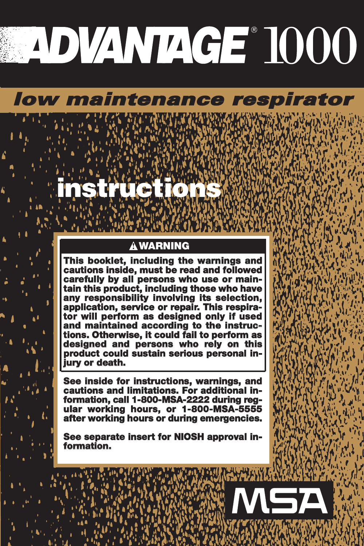## *low maintenance respirator*

## **! WARNING**

**instructions**

**This booklet, including the warnings and cautions inside, must be read and followed carefully by all persons who use or maintain this product, including those who have any responsibility involving its selection, application, service or repair. This respirator will perform as designed only if used and maintained according to the instructions. Otherwise, it could fail to perform as designed and persons who rely on this product could sustain serious personal injury or death.** 

**See inside for instructions, warnings, and cautions and limitations. For additional in- formation, call 1-800-MSA-2222 during reg- ular working hours, or 1-800-MSA-5555 after working hours or during emergencies.**

**See separate insert for NIOSH approval in- formation.**

**ASA**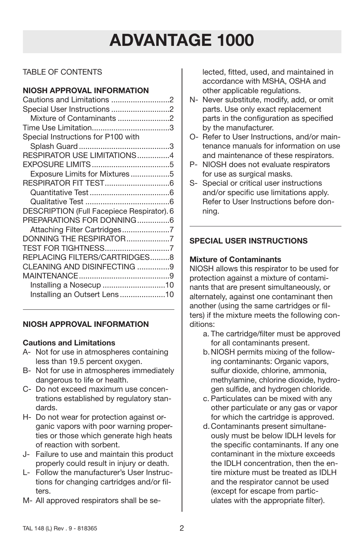## TABLE OF CONTENTS

#### **NIOSH APPROVAL INFORMATION**

| Cautions and Limitations 2                 |  |
|--------------------------------------------|--|
| Special User Instructions 2                |  |
| Mixture of Contaminants 2                  |  |
|                                            |  |
| Special Instructions for P100 with         |  |
|                                            |  |
| RESPIRATOR USE LIMITATIONS 4               |  |
|                                            |  |
| Exposure Limits for Mixtures5              |  |
|                                            |  |
|                                            |  |
|                                            |  |
| DESCRIPTION (Full Facepiece Respirator). 6 |  |
| PREPARATIONS FOR DONNING6                  |  |
| Attaching Filter Cartridges7               |  |
| DONNING THE RESPIRATOR7                    |  |
| TEST FOR TIGHTNESS7                        |  |
| REPLACING FILTERS/CARTRIDGES8              |  |
| CLEANING AND DISINFECTING 9                |  |
|                                            |  |
| Installing a Nosecup 10                    |  |
| Installing an Outsert Lens10               |  |
|                                            |  |

#### **NIOSH APPROVAL INFORMATION**

#### **Cautions and Limitations**

- A- Not for use in atmospheres containing less than 19.5 percent oxygen.
- B- Not for use in atmospheres immediately dangerous to life or health.
- C- Do not exceed maximum use concentrations established by regulatory standards.
- H- Do not wear for protection against organic vapors with poor warning properties or those which generate high heats of reaction with sorbent.
- J- Failure to use and maintain this product properly could result in injury or death.
- L- Follow the manufacturer's User Instructions for changing cartridges and/or filters.
- M- All approved respirators shall be se-

lected, fitted, used, and maintained in accordance with MSHA, OSHA and other applicable regulations.

- N- Never substitute, modify, add, or omit parts. Use only exact replacement parts in the configuration as specified by the manufacturer.
- O- Refer to User Instructions, and/or maintenance manuals for information on use and maintenance of these respirators.
- P- NIOSH does not evaluate respirators for use as surgical masks.
- S- Special or critical user instructions and/or specific use limitations apply. Refer to User Instructions before donning.

## **SPECIAL USER INSTRUCTIONS**

## **Mixture of Contaminants**

NIOSH allows this respirator to be used for protection against a mixture of contaminants that are present simultaneously, or alternately, against one contaminant then another (using the same cartridges or filters) if the mixture meets the following conditions:

- a. The cartridge/filter must be approved for all contaminants present.
- b.NIOSH permits mixing of the following contaminants: Organic vapors, sulfur dioxide, chlorine, ammonia, methylamine, chlorine dioxide, hydrogen sulfide, and hydrogen chloride.
- c. Particulates can be mixed with any other particulate or any gas or vapor for which the cartridge is approved.
- d.Contaminants present simultaneously must be below IDLH levels for the specific contaminants. If any one contaminant in the mixture exceeds the IDLH concentration, then the entire mixture must be treated as IDLH and the respirator cannot be used (except for escape from particulates with the appropriate filter).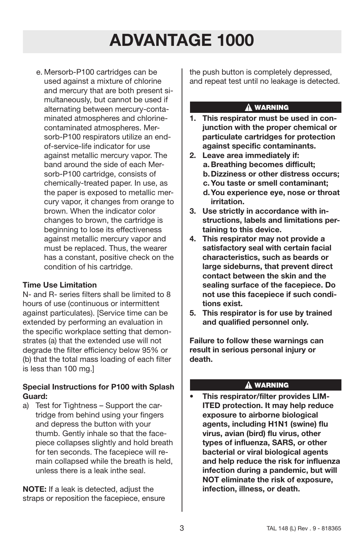e. Mersorb-P100 cartridges can be used against a mixture of chlorine and mercury that are both present simultaneously, but cannot be used if alternating between mercury-contaminated atmospheres and chlorinecontaminated atmospheres. Mersorb-P100 respirators utilize an endof-service-life indicator for use against metallic mercury vapor. The band around the side of each Mersorb-P100 cartridge, consists of chemically-treated paper. In use, as the paper is exposed to metallic mercury vapor, it changes from orange to brown. When the indicator color changes to brown, the cartridge is beginning to lose its effectiveness against metallic mercury vapor and must be replaced. Thus, the wearer has a constant, positive check on the condition of his cartridge.

#### **Time Use Limitation**

N- and R- series filters shall be limited to 8 hours of use (continuous or intermittent against particulates). [Service time can be extended by performing an evaluation in the specific workplace setting that demonstrates (a) that the extended use will not degrade the filter efficiency below 95% or (b) that the total mass loading of each filter is less than 100 mg.]

#### **Special Instructions for P100 with Splash Guard:**

a) Test for Tightness – Support the cartridge from behind using your fingers and depress the button with your thumb. Gently inhale so that the facepiece collapses slightly and hold breath for ten seconds. The facepiece will remain collapsed while the breath is held, unless there is a leak inthe seal.

**NOTE:** If a leak is detected, adjust the straps or reposition the facepiece, ensure the push button is completely depressed, and repeat test until no leakage is detected.

#### A WARNING

- **1. This respirator must be used in conjunction with the proper chemical or particulate cartridges for protection against specific contaminants.**
- **2. Leave area immediately if: a. Breathing becomes difficult; b.Dizziness or other distress occurs;**
	- **c. You taste or smell contaminant;**
	- **d.You experience eye, nose or throat irritation.**
- **3. Use strictly in accordance with instructions, labels and limitations pertaining to this device.**
- **4. This respirator may not provide a satisfactory seal with certain facial characteristics, such as beards or large sideburns, that prevent direct contact between the skin and the sealing surface of the facepiece. Do not use this facepiece if such conditions exist.**
- **5. This respirator is for use by trained and qualified personnel only.**

**Failure to follow these warnings can result in serious personal injury or death.**

#### **A WARNING**

**• This respirator/filter provides LIM-ITED protection. It may help reduce exposure to airborne biological agents, including H1N1 (swine) flu virus, avian (bird) flu virus, other types of influenza, SARS, or other bacterial or viral biological agents and help reduce the risk for influenza infection during a pandemic, but will NOT eliminate the risk of exposure, infection, illness, or death.**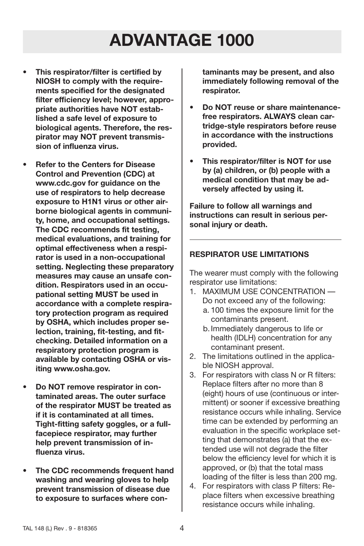- **This respirator/filter is certified by NIOSH to comply with the requirements specified for the designated filter efficiency level; however, appropriate authorities have NOT established a safe level of exposure to biological agents. Therefore, the respirator may NOT prevent transmission of influenza virus.**
- **Refer to the Centers for Disease Control and Prevention (CDC) at www.cdc.gov for guidance on the use of respirators to help decrease exposure to H1N1 virus or other airborne biological agents in community, home, and occupational settings. The CDC recommends fit testing, medical evaluations, and training for optimal effectiveness when a respirator is used in a non-occupational setting. Neglecting these preparatory measures may cause an unsafe condition. Respirators used in an occupational setting MUST be used in accordance with a complete respiratory protection program as required by OSHA, which includes proper selection, training, fit-testing, and fitchecking. Detailed information on a respiratory protection program is available by contacting OSHA or visiting www.osha.gov.**
- **Do NOT remove respirator in contaminated areas. The outer surface of the respirator MUST be treated as if it is contaminated at all times. Tight-fitting safety goggles, or a fullfacepiece respirator, may further help prevent transmission of influenza virus.**
- **The CDC recommends frequent hand washing and wearing gloves to help prevent transmission of disease due to exposure to surfaces where con-**

**taminants may be present, and also immediately following removal of the respirator.**

- **Do NOT reuse or share maintenancefree respirators. ALWAYS clean cartridge-style respirators before reuse in accordance with the instructions provided.**
- **This respirator/filter is NOT for use by (a) children, or (b) people with a medical condition that may be adversely affected by using it.**

**Failure to follow all warnings and instructions can result in serious personal injury or death.**

#### **RESPIRATOR USE LIMITATIONS**

The wearer must comply with the following respirator use limitations:

- 1. MAXIMUM USE CONCENTRATION Do not exceed any of the following:
	- a. 100 times the exposure limit for the contaminants present.
	- b.Immediately dangerous to life or health (IDLH) concentration for any contaminant present.
- 2. The limitations outlined in the applicable NIOSH approval.
- 3. For respirators with class N or R filters: Replace filters after no more than 8 (eight) hours of use (continuous or intermittent) or sooner if excessive breathing resistance occurs while inhaling. Service time can be extended by performing an evaluation in the specific workplace setting that demonstrates (a) that the extended use will not degrade the filter below the efficiency level for which it is approved, or (b) that the total mass loading of the filter is less than 200 mg.
- 4. For respirators with class P filters: Replace filters when excessive breathing resistance occurs while inhaling.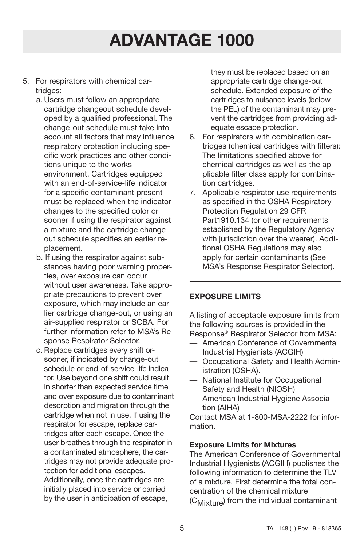- 5. For respirators with chemical cartridges:
	- a. Users must follow an appropriate cartridge changeout schedule developed by a qualified professional. The change-out schedule must take into account all factors that may influence respiratory protection including specific work practices and other conditions unique to the works environment. Cartridges equipped with an end-of-service-life indicator for a specific contaminant present must be replaced when the indicator changes to the specified color or sooner if using the respirator against a mixture and the cartridge changeout schedule specifies an earlier replacement.
	- b. If using the respirator against substances having poor warning properties, over exposure can occur without user awareness. Take appropriate precautions to prevent over exposure, which may include an earlier cartridge change-out, or using an air-supplied respirator or SCBA. For further information refer to MSA's Response Respirator Selector.
	- c. Replace cartridges every shift orsooner, if indicated by change-out schedule or end-of-service-life indicator. Use beyond one shift could result in shorter than expected service time and over exposure due to contaminant desorption and migration through the cartridge when not in use. If using the respirator for escape, replace cartridges after each escape. Once the user breathes through the respirator in a contaminated atmosphere, the cartridges may not provide adequate protection for additional escapes. Additionally, once the cartridges are initially placed into service or carried by the user in anticipation of escape,

they must be replaced based on an appropriate cartridge change-out schedule. Extended exposure of the cartridges to nuisance levels (below the PEL) of the contaminant may prevent the cartridges from providing adequate escape protection.

- 6. For respirators with combination cartridges (chemical cartridges with filters): The limitations specified above for chemical cartridges as well as the applicable filter class apply for combination cartridges.
- 7. Applicable respirator use requirements as specified in the OSHA Respiratory Protection Regulation 29 CFR Part1910.134 (or other requirements established by the Regulatory Agency with jurisdiction over the wearer). Additional OSHA Regulations may also apply for certain contaminants (See MSA's Response Respirator Selector).

#### **EXPOSURE LIMITS**

A listing of acceptable exposure limits from the following sources is provided in the Response® Respirator Selector from MSA:

- American Conference of Governmental Industrial Hygienists (ACGIH)
- Occupational Safety and Health Administration (OSHA).
- National Institute for Occupational Safety and Health (NIOSH)
- American Industrial Hygiene Association (AIHA)

Contact MSA at 1-800-MSA-2222 for information.

#### **Exposure Limits for Mixtures**

The American Conference of Governmental Industrial Hygienists (ACGIH) publishes the following information to determine the TLV of a mixture. First determine the total concentration of the chemical mixture (C<sub>Mixture</sub>) from the individual contaminant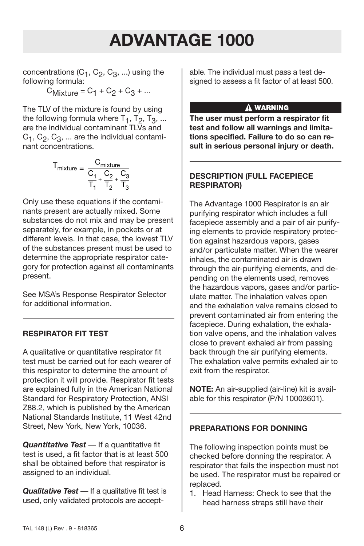concentrations  $(C_1, C_2, C_3, ...)$  using the following formula:

 $C_{Mixture} = C_1 + C_2 + C_3 + ...$ 

The TLV of the mixture is found by using the following formula where  $T_1$ ,  $T_2$ ,  $T_3$ , ... are the individual contaminant TLVs and  $C_1$ ,  $C_2$ ,  $C_3$ , ... are the individual contaminant concentrations.

$$
T_{mixture} = \frac{C_{mixture}}{\frac{C_1}{T_1} + \frac{C_2}{T_2} + \frac{C_3}{T_3}}
$$

Only use these equations if the contaminants present are actually mixed. Some substances do not mix and may be present separately, for example, in pockets or at different levels. In that case, the lowest TLV of the substances present must be used to determine the appropriate respirator category for protection against all contaminants present.

See MSA's Response Respirator Selector for additional information.

#### **RESPIRATOR FIT TEST**

A qualitative or quantitative respirator fit test must be carried out for each wearer of this respirator to determine the amount of protection it will provide. Respirator fit tests are explained fully in the American National Standard for Respiratory Protection, ANSI Z88.2, which is published by the American National Standards Institute, 11 West 42nd Street, New York, New York, 10036.

*Quantitative Test* — If a quantitative fit test is used, a fit factor that is at least 500 shall be obtained before that respirator is assigned to an individual.

*Qualitative Test* — If a qualitative fit test is used, only validated protocols are acceptable. The individual must pass a test designed to assess a fit factor of at least 500.

#### A WARNING

**The user must perform a respirator fit test and follow all warnings and limitations specified. Failure to do so can result in serious personal injury or death.**

#### **DESCRIPTION (FULL FACEPIECE RESPIRATOR)**

The Advantage 1000 Respirator is an air purifying respirator which includes a full facepiece assembly and a pair of air purifying elements to provide respiratory protection against hazardous vapors, gases and/or particulate matter. When the wearer inhales, the contaminated air is drawn through the air-purifying elements, and depending on the elements used, removes the hazardous vapors, gases and/or particulate matter. The inhalation valves open and the exhalation valve remains closed to prevent contaminated air from entering the facepiece. During exhalation, the exhalation valve opens, and the inhalation valves close to prevent exhaled air from passing back through the air purifying elements. The exhalation valve permits exhaled air to exit from the respirator.

**NOTE:** An air-supplied (air-line) kit is available for this respirator (P/N 10003601).

## **PREPARATIONS FOR DONNING**

The following inspection points must be checked before donning the respirator. A respirator that fails the inspection must not be used. The respirator must be repaired or replaced.

1. Head Harness: Check to see that the head harness straps still have their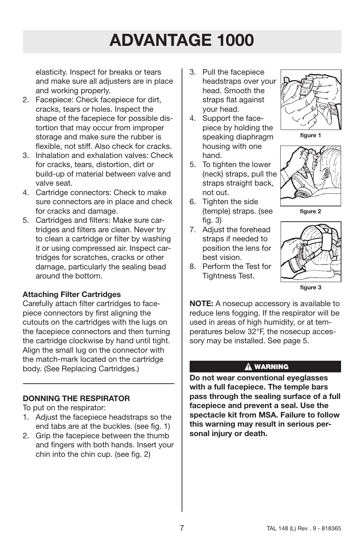elasticity. Inspect for breaks or tears and make sure all adjusters are in place and working properly.

- 2. Facepiece: Check facepiece for dirt, cracks, tears or holes. Inspect the shape of the facepiece for possible distortion that may occur from improper storage and make sure the rubber is flexible, not stiff. Also check for cracks.
- 3. Inhalation and exhalation valves: Check for cracks, tears, distortion, dirt or build-up of material between valve and valve seat.
- 4. Cartridge connectors: Check to make sure connectors are in place and check for cracks and damage.
- 5. Cartridges and filters: Make sure cartridges and filters are clean. Never try to clean a cartridge or filter by washing it or using compressed air. Inspect cartridges for scratches, cracks or other damage, particularly the sealing bead around the bottom.

#### **Attaching Filter Cartridges**

Carefully attach filter cartridges to facepiece connectors by first aligning the cutouts on the cartridges with the lugs on the facepiece connectors and then turning the cartridge clockwise by hand until tight. Align the small lug on the connector with the match-mark located on the cartridge body. (See Replacing Cartridges.)

#### **DONNING THE RESPIRATOR**

To put on the respirator:

- 1. Adjust the facepiece headstraps so the end tabs are at the buckles. (see fig. 1)
- 2. Grip the facepiece between the thumb and fingers with both hands. Insert your chin into the chin cup. (see fig. 2)
- 3. Pull the facepiece headstraps over your head. Smooth the straps flat against your head.
- 4. Support the facepiece by holding the speaking diaphragm housing with one hand.
- 5. To tighten the lower (neck) straps, pull the straps straight back, not out.
- 6. Tighten the side (temple) straps. (see fig. 3)
- 7. Adjust the forehead straps if needed to position the lens for best vision.
- 8. Perform the Test for Tightness Test.



**figure 1**







**figure 3**

**NOTE:** A nosecup accessory is available to reduce lens fogging. If the respirator will be used in areas of high humidity, or at temperatures below 32°F, the nosecup accessory may be installed. See page 5.

#### A WARNING

**Do not wear conventional eyeglasses with a full facepiece. The temple bars pass through the sealing surface of a full facepiece and prevent a seal. Use the spectacle kit from MSA. Failure to follow this warning may result in serious personal injury or death.**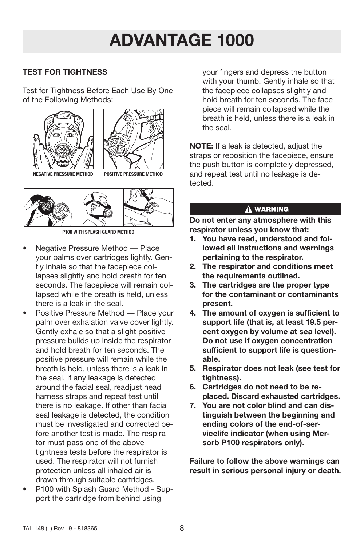## **TEST FOR TIGHTNESS**

Test for Tightness Before Each Use By One of the Following Methods:





**NEGATIVE PRESSURE METHOD POSITIVE PRESSURE METHOD**



**P100 WITH SPLASH GUARD METHOD**

- Negative Pressure Method Place your palms over cartridges lightly. Gently inhale so that the facepiece collapses slightly and hold breath for ten seconds. The facepiece will remain collapsed while the breath is held, unless there is a leak in the seal.
- Positive Pressure Method Place your palm over exhalation valve cover lightly. Gently exhale so that a slight positive pressure builds up inside the respirator and hold breath for ten seconds. The positive pressure will remain while the breath is held, unless there is a leak in the seal. If any leakage is detected around the facial seal, readjust head harness straps and repeat test until there is no leakage. If other than facial seal leakage is detected, the condition must be investigated and corrected before another test is made. The respirator must pass one of the above tightness tests before the respirator is used. The respirator will not furnish protection unless all inhaled air is drawn through suitable cartridges.
- P100 with Splash Guard Method Support the cartridge from behind using

your fingers and depress the button with your thumb. Gently inhale so that the facepiece collapses slightly and hold breath for ten seconds. The facepiece will remain collapsed while the breath is held, unless there is a leak in the seal.

**NOTE:** If a leak is detected, adjust the straps or reposition the facepiece, ensure the push button is completely depressed, and repeat test until no leakage is detected.

#### A WARNING

**Do not enter any atmosphere with this respirator unless you know that:**

- **1. You have read, understood and followed all instructions and warnings pertaining to the respirator.**
- **2. The respirator and conditions meet the requirements outlined.**
- **3. The cartridges are the proper type for the contaminant or contaminants present.**
- **4. The amount of oxygen is sufficient to support life (that is, at least 19.5 percent oxygen by volume at sea level). Do not use if oxygen concentration sufficient to support life is questionable.**
- **5. Respirator does not leak (see test for tightness).**
- **6. Cartridges do not need to be replaced. Discard exhausted cartridges.**
- **7. You are not color blind and can distinguish between the beginning and ending colors of the end-of-servicelife indicator (when using Mersorb P100 respirators only).**

**Failure to follow the above warnings can result in serious personal injury or death.**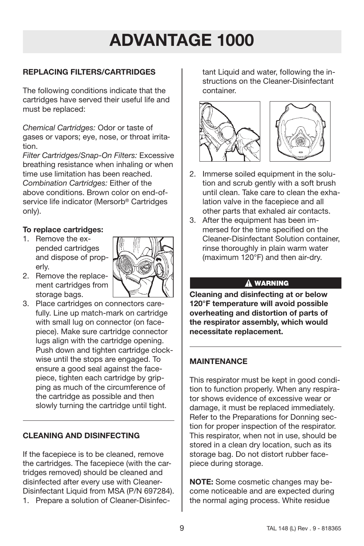## **REPLACING FILTERS/CARTRIDGES**

The following conditions indicate that the cartridges have served their useful life and must be replaced:

*Chemical Cartridges:* Odor or taste of gases or vapors; eye, nose, or throat irritation.

*Filter Cartridges/Snap-On Filters:* Excessive breathing resistance when inhaling or when time use limitation has been reached. *Combination Cartridges:* Either of the above conditions. Brown color on end-ofservice life indicator (Mersorb® Cartridges only).

#### **To replace cartridges:**

1. Remove the expended cartridges and dispose of properly.



3. Place cartridges on connectors carefully. Line up match-mark on cartridge with small lug on connector (on facepiece). Make sure cartridge connector lugs align with the cartridge opening. Push down and tighten cartridge clockwise until the stops are engaged. To ensure a good seal against the facepiece, tighten each cartridge by gripping as much of the circumference of the cartridge as possible and then slowly turning the cartridge until tight.

## **CLEANING AND DISINFECTING**

If the facepiece is to be cleaned, remove the cartridges. The facepiece (with the cartridges removed) should be cleaned and disinfected after every use with Cleaner-Disinfectant Liquid from MSA (P/N 697284). 1. Prepare a solution of Cleaner-Disinfectant Liquid and water, following the instructions on the Cleaner-Disinfectant container.





- 2. Immerse soiled equipment in the solution and scrub gently with a soft brush until clean. Take care to clean the exhalation valve in the facepiece and all other parts that exhaled air contacts.
- 3. After the equipment has been immersed for the time specified on the Cleaner-Disinfectant Solution container, rinse thoroughly in plain warm water (maximum 120°F) and then air-dry.

#### A WARNING

**Cleaning and disinfecting at or below 120°F temperature will avoid possible overheating and distortion of parts of the respirator assembly, which would necessitate replacement.**

## **MAINTENANCE**

This respirator must be kept in good condition to function properly. When any respirator shows evidence of excessive wear or damage, it must be replaced immediately. Refer to the Preparations for Donning section for proper inspection of the respirator. This respirator, when not in use, should be stored in a clean dry location, such as its storage bag. Do not distort rubber facepiece during storage.

**NOTE:** Some cosmetic changes may become noticeable and are expected during the normal aging process. White residue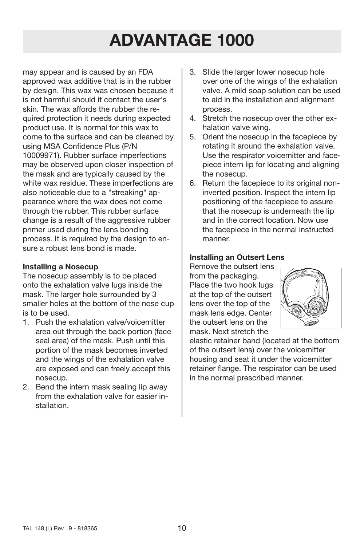may appear and is caused by an FDA approved wax additive that is in the rubber by design. This wax was chosen because it is not harmful should it contact the user's skin. The wax affords the rubber the required protection it needs during expected product use. It is normal for this wax to come to the surface and can be cleaned by using MSA Confidence Plus (P/N 10009971). Rubber surface imperfections may be observed upon closer inspection of the mask and are typically caused by the white wax residue. These imperfections are also noticeable due to a "streaking" appearance where the wax does not come through the rubber. This rubber surface change is a result of the aggressive rubber primer used during the lens bonding process. It is required by the design to ensure a robust lens bond is made.

#### **Installing a Nosecup**

The nosecup assembly is to be placed onto the exhalation valve lugs inside the mask. The larger hole surrounded by 3 smaller holes at the bottom of the nose cup is to be used.

- 1. Push the exhalation valve/voicemitter area out through the back portion (face seal area) of the mask. Push until this portion of the mask becomes inverted and the wings of the exhalation valve are exposed and can freely accept this nosecup.
- 2. Bend the intern mask sealing lip away from the exhalation valve for easier installation.
- 3. Slide the larger lower nosecup hole over one of the wings of the exhalation valve. A mild soap solution can be used to aid in the installation and alignment process.
- 4. Stretch the nosecup over the other exhalation valve wing.
- 5. Orient the nosecup in the facepiece by rotating it around the exhalation valve. Use the respirator voicemitter and facepiece intern lip for locating and aligning the nosecup.
- 6. Return the facepiece to its original noninverted position. Inspect the intern lip positioning of the facepiece to assure that the nosecup is underneath the lip and in the correct location. Now use the facepiece in the normal instructed manner.

### **Installing an Outsert Lens**

Remove the outsert lens from the packaging. Place the two hook lugs at the top of the outsert lens over the top of the mask lens edge. Center the outsert lens on the mask. Next stretch the



elastic retainer band (located at the bottom of the outsert lens) over the voicemitter housing and seat it under the voicemitter retainer flange. The respirator can be used in the normal prescribed manner.